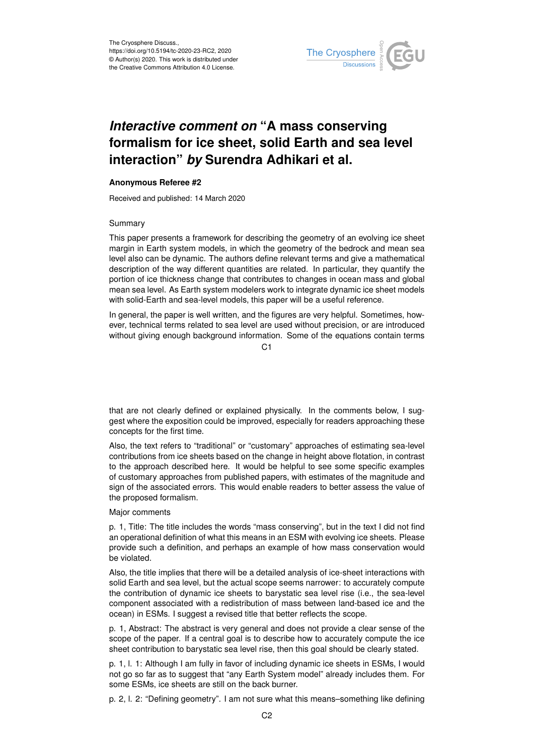

## *Interactive comment on* **"A mass conserving formalism for ice sheet, solid Earth and sea level interaction"** *by* **Surendra Adhikari et al.**

## **Anonymous Referee #2**

Received and published: 14 March 2020

## Summary

This paper presents a framework for describing the geometry of an evolving ice sheet margin in Earth system models, in which the geometry of the bedrock and mean sea level also can be dynamic. The authors define relevant terms and give a mathematical description of the way different quantities are related. In particular, they quantify the portion of ice thickness change that contributes to changes in ocean mass and global mean sea level. As Earth system modelers work to integrate dynamic ice sheet models with solid-Earth and sea-level models, this paper will be a useful reference.

In general, the paper is well written, and the figures are very helpful. Sometimes, however, technical terms related to sea level are used without precision, or are introduced without giving enough background information. Some of the equations contain terms

C1

that are not clearly defined or explained physically. In the comments below, I suggest where the exposition could be improved, especially for readers approaching these concepts for the first time.

Also, the text refers to "traditional" or "customary" approaches of estimating sea-level contributions from ice sheets based on the change in height above flotation, in contrast to the approach described here. It would be helpful to see some specific examples of customary approaches from published papers, with estimates of the magnitude and sign of the associated errors. This would enable readers to better assess the value of the proposed formalism.

Major comments

p. 1, Title: The title includes the words "mass conserving", but in the text I did not find an operational definition of what this means in an ESM with evolving ice sheets. Please provide such a definition, and perhaps an example of how mass conservation would be violated.

Also, the title implies that there will be a detailed analysis of ice-sheet interactions with solid Earth and sea level, but the actual scope seems narrower: to accurately compute the contribution of dynamic ice sheets to barystatic sea level rise (i.e., the sea-level component associated with a redistribution of mass between land-based ice and the ocean) in ESMs. I suggest a revised title that better reflects the scope.

p. 1, Abstract: The abstract is very general and does not provide a clear sense of the scope of the paper. If a central goal is to describe how to accurately compute the ice sheet contribution to barystatic sea level rise, then this goal should be clearly stated.

p. 1, l. 1: Although I am fully in favor of including dynamic ice sheets in ESMs, I would not go so far as to suggest that "any Earth System model" already includes them. For some ESMs, ice sheets are still on the back burner.

p. 2, l. 2: "Defining geometry". I am not sure what this means–something like defining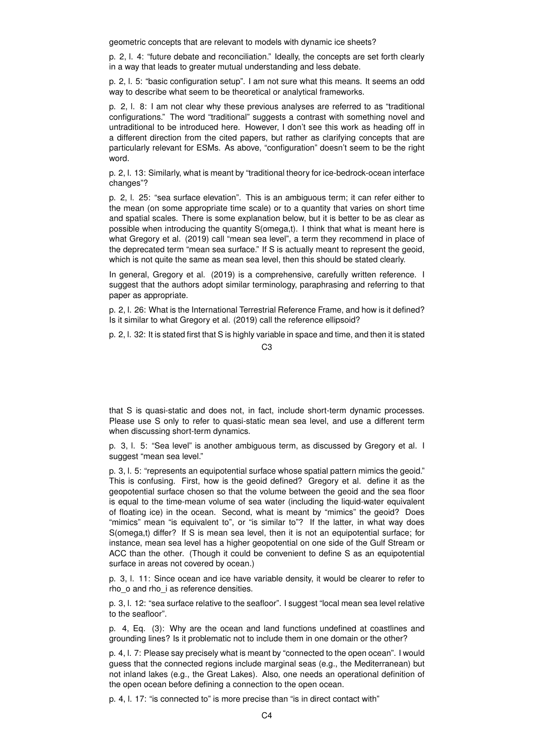geometric concepts that are relevant to models with dynamic ice sheets?

p. 2, l. 4: "future debate and reconciliation." Ideally, the concepts are set forth clearly in a way that leads to greater mutual understanding and less debate.

p. 2, l. 5: "basic configuration setup". I am not sure what this means. It seems an odd way to describe what seem to be theoretical or analytical frameworks.

p. 2, l. 8: I am not clear why these previous analyses are referred to as "traditional configurations." The word "traditional" suggests a contrast with something novel and untraditional to be introduced here. However, I don't see this work as heading off in a different direction from the cited papers, but rather as clarifying concepts that are particularly relevant for ESMs. As above, "configuration" doesn't seem to be the right word.

p. 2, l. 13: Similarly, what is meant by "traditional theory for ice-bedrock-ocean interface changes"?

p. 2, l. 25: "sea surface elevation". This is an ambiguous term; it can refer either to the mean (on some appropriate time scale) or to a quantity that varies on short time and spatial scales. There is some explanation below, but it is better to be as clear as possible when introducing the quantity S(omega,t). I think that what is meant here is what Gregory et al. (2019) call "mean sea level", a term they recommend in place of the deprecated term "mean sea surface." If S is actually meant to represent the geoid, which is not quite the same as mean sea level, then this should be stated clearly.

In general, Gregory et al. (2019) is a comprehensive, carefully written reference. I suggest that the authors adopt similar terminology, paraphrasing and referring to that paper as appropriate.

p. 2, l. 26: What is the International Terrestrial Reference Frame, and how is it defined? Is it similar to what Gregory et al. (2019) call the reference ellipsoid?

p. 2, l. 32: It is stated first that S is highly variable in space and time, and then it is stated

C3

that S is quasi-static and does not, in fact, include short-term dynamic processes. Please use S only to refer to quasi-static mean sea level, and use a different term when discussing short-term dynamics.

p. 3, l. 5: "Sea level" is another ambiguous term, as discussed by Gregory et al. I suggest "mean sea level."

p. 3, l. 5: "represents an equipotential surface whose spatial pattern mimics the geoid." This is confusing. First, how is the geoid defined? Gregory et al. define it as the geopotential surface chosen so that the volume between the geoid and the sea floor is equal to the time-mean volume of sea water (including the liquid-water equivalent of floating ice) in the ocean. Second, what is meant by "mimics" the geoid? Does "mimics" mean "is equivalent to", or "is similar to"? If the latter, in what way does S(omega,t) differ? If S is mean sea level, then it is not an equipotential surface; for instance, mean sea level has a higher geopotential on one side of the Gulf Stream or ACC than the other. (Though it could be convenient to define S as an equipotential surface in areas not covered by ocean.)

p. 3, l. 11: Since ocean and ice have variable density, it would be clearer to refer to rho  $o$  and rho i as reference densities.

p. 3, l. 12: "sea surface relative to the seafloor". I suggest "local mean sea level relative to the seafloor".

p. 4, Eq. (3): Why are the ocean and land functions undefined at coastlines and grounding lines? Is it problematic not to include them in one domain or the other?

p. 4, l. 7: Please say precisely what is meant by "connected to the open ocean". I would guess that the connected regions include marginal seas (e.g., the Mediterranean) but not inland lakes (e.g., the Great Lakes). Also, one needs an operational definition of the open ocean before defining a connection to the open ocean.

p. 4, l. 17: "is connected to" is more precise than "is in direct contact with"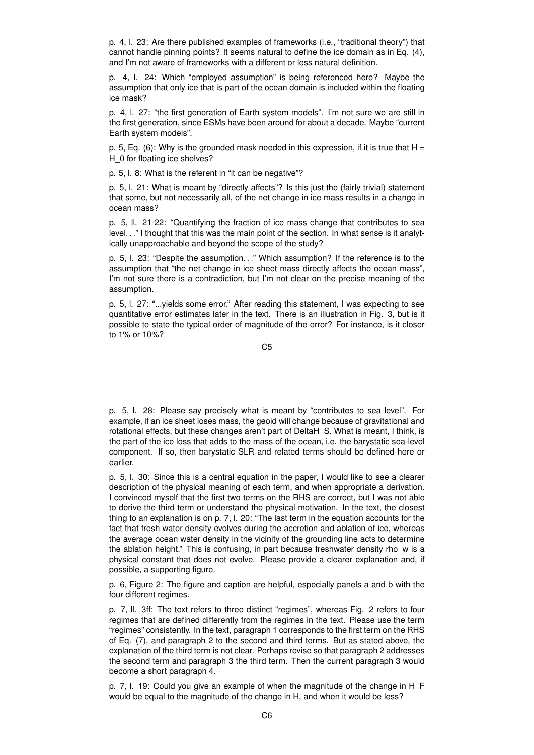p. 4, l. 23: Are there published examples of frameworks (i.e., "traditional theory") that cannot handle pinning points? It seems natural to define the ice domain as in Eq. (4), and I'm not aware of frameworks with a different or less natural definition.

p. 4, l. 24: Which "employed assumption" is being referenced here? Maybe the assumption that only ice that is part of the ocean domain is included within the floating ice mask?

p. 4, l. 27: "the first generation of Earth system models". I'm not sure we are still in the first generation, since ESMs have been around for about a decade. Maybe "current Earth system models".

p. 5, Eq. (6): Why is the grounded mask needed in this expression, if it is true that  $H =$ H 0 for floating ice shelves?

p. 5, l. 8: What is the referent in "it can be negative"?

p. 5, l. 21: What is meant by "directly affects"? Is this just the (fairly trivial) statement that some, but not necessarily all, of the net change in ice mass results in a change in ocean mass?

p. 5, ll. 21-22: "Quantifying the fraction of ice mass change that contributes to sea level. . ." I thought that this was the main point of the section. In what sense is it analytically unapproachable and beyond the scope of the study?

p. 5, l. 23: "Despite the assumption. . ." Which assumption? If the reference is to the assumption that "the net change in ice sheet mass directly affects the ocean mass", I'm not sure there is a contradiction, but I'm not clear on the precise meaning of the assumption.

p. 5, l. 27: "...yields some error." After reading this statement, I was expecting to see quantitative error estimates later in the text. There is an illustration in Fig. 3, but is it possible to state the typical order of magnitude of the error? For instance, is it closer to 1% or 10%?

C5

p. 5, l. 28: Please say precisely what is meant by "contributes to sea level". For example, if an ice sheet loses mass, the geoid will change because of gravitational and rotational effects, but these changes aren't part of DeltaH\_S. What is meant, I think, is the part of the ice loss that adds to the mass of the ocean, i.e. the barystatic sea-level component. If so, then barystatic SLR and related terms should be defined here or earlier.

p. 5, l. 30: Since this is a central equation in the paper, I would like to see a clearer description of the physical meaning of each term, and when appropriate a derivation. I convinced myself that the first two terms on the RHS are correct, but I was not able to derive the third term or understand the physical motivation. In the text, the closest thing to an explanation is on p. 7, l. 20: "The last term in the equation accounts for the fact that fresh water density evolves during the accretion and ablation of ice, whereas the average ocean water density in the vicinity of the grounding line acts to determine the ablation height." This is confusing, in part because freshwater density rho\_w is a physical constant that does not evolve. Please provide a clearer explanation and, if possible, a supporting figure.

p. 6, Figure 2: The figure and caption are helpful, especially panels a and b with the four different regimes.

p. 7, ll. 3ff: The text refers to three distinct "regimes", whereas Fig. 2 refers to four regimes that are defined differently from the regimes in the text. Please use the term "regimes" consistently. In the text, paragraph 1 corresponds to the first term on the RHS of Eq. (7), and paragraph 2 to the second and third terms. But as stated above, the explanation of the third term is not clear. Perhaps revise so that paragraph 2 addresses the second term and paragraph 3 the third term. Then the current paragraph 3 would become a short paragraph 4.

p. 7, l. 19: Could you give an example of when the magnitude of the change in H\_F would be equal to the magnitude of the change in H, and when it would be less?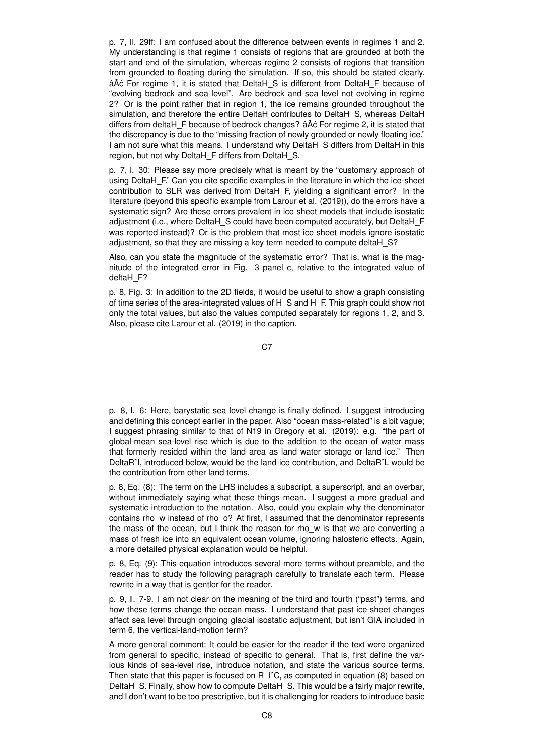p. 7, ll. 29ff: I am confused about the difference between events in regimes 1 and 2. My understanding is that regime 1 consists of regions that are grounded at both the start and end of the simulation, whereas regime 2 consists of regions that transition from grounded to floating during the simulation. If so, this should be stated clearly. â $\widetilde{A}$ ć For regime 1, it is stated that DeltaH S is different from DeltaH F because of "evolving bedrock and sea level". Are bedrock and sea level not evolving in regime 2? Or is the point rather that in region 1, the ice remains grounded throughout the simulation, and therefore the entire DeltaH contributes to DeltaH\_S, whereas DeltaH differs from deltaH F because of bedrock changes? âĂ c For regime 2, it is stated that the discrepancy is due to the "missing fraction of newly grounded or newly floating ice." I am not sure what this means. I understand why DeltaH\_S differs from DeltaH in this region, but not why DeltaH\_F differs from DeltaH\_S.

p. 7, l. 30: Please say more precisely what is meant by the "customary approach of using DeltaH F." Can you cite specific examples in the literature in which the ice-sheet contribution to SLR was derived from DeltaH\_F, yielding a significant error? In the literature (beyond this specific example from Larour et al. (2019)), do the errors have a systematic sign? Are these errors prevalent in ice sheet models that include isostatic adjustment (i.e., where DeltaH\_S could have been computed accurately, but DeltaH\_F was reported instead)? Or is the problem that most ice sheet models ignore isostatic adjustment, so that they are missing a key term needed to compute deltaH S?

Also, can you state the magnitude of the systematic error? That is, what is the magnitude of the integrated error in Fig. 3 panel c, relative to the integrated value of deltaH F?

p. 8, Fig. 3: In addition to the 2D fields, it would be useful to show a graph consisting of time series of the area-integrated values of H\_S and H\_F. This graph could show not only the total values, but also the values computed separately for regions 1, 2, and 3. Also, please cite Larour et al. (2019) in the caption.

C<sub>7</sub>

p. 8, l. 6: Here, barystatic sea level change is finally defined. I suggest introducing and defining this concept earlier in the paper. Also "ocean mass-related" is a bit vague; I suggest phrasing similar to that of N19 in Gregory et al. (2019): e.g. "the part of global-mean sea-level rise which is due to the addition to the ocean of water mass that formerly resided within the land area as land water storage or land ice." Then DeltaRˆI, introduced below, would be the land-ice contribution, and DeltaRˆL would be the contribution from other land terms.

p. 8, Eq. (8): The term on the LHS includes a subscript, a superscript, and an overbar, without immediately saying what these things mean. I suggest a more gradual and systematic introduction to the notation. Also, could you explain why the denominator contains rhow instead of rho o? At first, I assumed that the denominator represents the mass of the ocean, but I think the reason for rho\_w is that we are converting a mass of fresh ice into an equivalent ocean volume, ignoring halosteric effects. Again, a more detailed physical explanation would be helpful.

p. 8, Eq. (9): This equation introduces several more terms without preamble, and the reader has to study the following paragraph carefully to translate each term. Please rewrite in a way that is gentler for the reader.

p. 9, ll. 7-9. I am not clear on the meaning of the third and fourth ("past") terms, and how these terms change the ocean mass. I understand that past ice-sheet changes affect sea level through ongoing glacial isostatic adjustment, but isn't GIA included in term 6, the vertical-land-motion term?

A more general comment: It could be easier for the reader if the text were organized from general to specific, instead of specific to general. That is, first define the various kinds of sea-level rise, introduce notation, and state the various source terms. Then state that this paper is focused on R  $\Gamma$ <sup>c</sup>C, as computed in equation (8) based on DeltaH\_S. Finally, show how to compute DeltaH\_S. This would be a fairly major rewrite, and I don't want to be too prescriptive, but it is challenging for readers to introduce basic